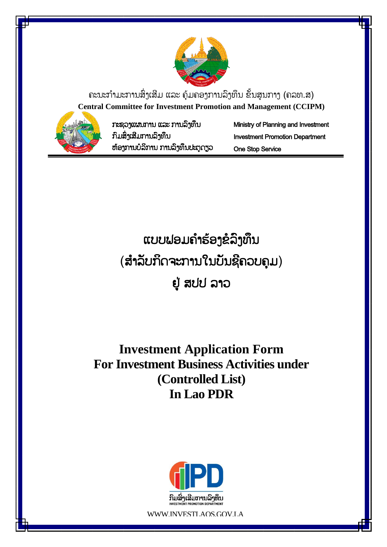

ຄະນະກຳມະການສິ່ງເສີມ ແລະ ຄຸ້ມຄອງການລິງທຶນ ຂັ້ນສູນກາງ (ຄລທ.ສ) **Central Committee for Investment Promotion and Management (CCIPM)**



ກະຊວງແຜນກຳນ ແລະ ກຳນລົງທຶນ ກົມສົົ່ງເສີມກຳນລົງທຶນ ຫຸ້ອງກຳນບໍລິກຳນ ກຳນລົງທຶນປະຕູດຽວ Ministry of Planning and Investment Investment Promotion Department One Stop Service

ແບບຟອມຄຳຮ້ອງຂໍລິງທຶນ (ສໍາລັບກິດຈະການໃນບັນຊີຄວບຄຸມ)

# ຢູູ່ ສປປ ລຳວ

# **Investment Application Form For Investment Business Activities under (Controlled List) In Lao PDR**



WWW.INVESTLAOS.GOV.LA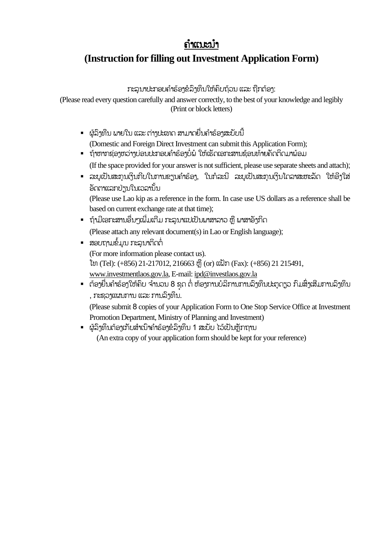# ຄຳແນະນຳ

## **(Instruction for filling out Investment Application Form)**

ກະລຸນາປະກອບຄຳຮ້ອງຂໍລິງທຶນໃຫ້ຄົບຖ້ວນ ແລະ ຖືກຕ້ອງ:

(Please read every question carefully and answer correctly, to the best of your knowledge and legibly (Print or block letters)

- ຜູ້ລົງທືນ ພາຍໃນ ແລະ ຕ່າງປະເທດ ສາມາດຍື່ນຄຳຮ້ອງສະບັບນີ້ (Domestic and Foreign Direct Investment can submit this Application Form);
- ຖ້າຫາກຊ່ອງຫວ່າງບ່ອນປະກອບຄຳຮ້ອງບໍ່ພໍ ໃຫ້ເຮັດເອກະສານຊ້ອນທ້າຍຄັດຕິດມາພ້ອມ (If the space provided for your answer is not sufficient, please use separate sheets and attach);
- ລະບຸເປັນສະກຸນເງິນກີບໃນການຂຽນຄຳຮ້ອງ, ໃນກໍລະນີ ລະບຸເປັນສະກຸນເງິນໂດລາສະຫະລັດ ໃຫ້ອີງໃສ່ ້ອດຕາແລກປ່ຽນໃນເວລານັ້ນ

(Please use Lao kip as a reference in the form. In case use US dollars as a reference shall be based on current exchange rate at that time);

- ຖ້າມີເອກະສານອື່ນໆເພີ່ມເຕີມ ກະລນາແປເປັນພາສາລາວ ຫື ພາສາອັາກິດ (Please attach any relevant document(s) in Lao or English language);
- ສອບຖາມຂໍ້ມູນ ກະລນາຕິດຕໍ່ (For more information please contact us). ໂທ (Tel): (+856) 21-217012, 216663 ຫ ື (or) ແຟັກ (Fax): (+856) 21 215491, [www.investmentlaos.gov.la,](http://www.investmentlaos.gov.la/) E-mail: [ipd@investlaos.gov.la](mailto:ipd@investlaos.gov.la)
- ຕ້ອງຍື່ນຄຳຮ້ອງໃຫ້ຄືບ ຈຳນວນ 8 ຊຸດ ຕໍ່ ຫ້ອງການບໍລິການການລົງທຶນປະຕຸດຽວ ກິມສິ່ງເສີມການລົງທຶນ , ກະຊວງແຜນກຳນ ແລະ ກຳນລົງທຶນ.

(Please submit 8 copies of your Application Form to One Stop Service Office at Investment Promotion Department, Ministry of Planning and Investment)

▪ ຜູ້ລິງທຶນຕ້ອງເກັບສຳເນົາຄຳຮ້ອງຂໍລິງທຶນ 1 ສະບັບ ໄວ້ເປັນຫຼັກຖານ

(An extra copy of your application form should be kept for your reference)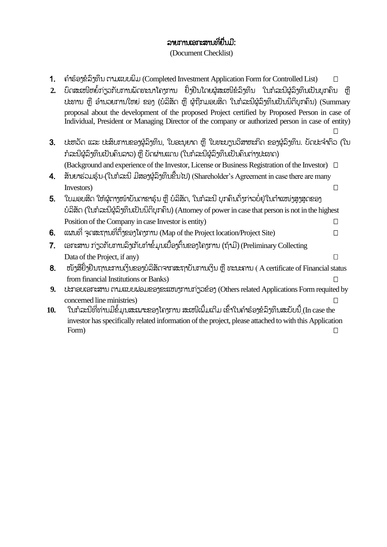## ລຳຍກຳນເອກະສຳນທີື່ຍືື່ນມີ:

(Document Checklist)

1. ຄຳຮ້ອງຂໍລິງທຶນ ຕາມແບບພິມ (Completed Investment Application Form for Controlled List)  $\Box$ 

| 2. ບົດສະເໜີຫຍໍ້ກ່ຽວກັບການພັດທະນາໂຄງການ ຢັ້ງຢືນໂດຍຜູ້ສະເໜີຂໍລິງທຶນ ໃນກໍລະນີຜູ້ລິງທຶນເປັນບຸກຄົນ ຫຼື |  |
|---------------------------------------------------------------------------------------------------|--|
| ປະທານ ຫຼື ອຳນວຍການໃຫຍ່ ຂອງ (ບໍລິສັດ ຫຼື ຜູ້ຖືກມອບສິດ ໃນກໍລະນີຜູ້ລຶງທຶນເປັນນິຕິບຸກຄົນ) (Summary    |  |
| proposal about the development of the proposed Project certified by Proposed Person in case of    |  |
| Individual, President or Managing Director of the company or authorized person in case of entity) |  |

3. ປະຫວັດ ແລະ ປະສິບການຂອງຜູ້ລິງທຶນ, ໃບອະນຸຍາດ ຫຼື ໃບທະບຽນວິສາຫະກິດ ຂອງຜູ້ລິງທຶນ. ບັດປະຈຳຕົວ (ໃນ ກໍລະນີຜູ້ລົງທຶນເປັນຄົນລາວ) ຫື ບັດຜ່ານແດນ (ໃນກໍລະນີຜູ້ລົງທຶນເປັນຄົນຕ່າງປະເທດ) (Background and experience of the Investor, License or Business Registration of the Investor)

 $\Box$ 

- 4. ສັນຍາຮ່ວມຮ້ນ (ໃນກໍລະນີ ມີສອງຜູ້ລົງທຶນຂື້ນໄປ) (Shareholder's Agreement in case there are many Investors)
- 5. ໃບມອບສິດ ໃຫ້ຜູ້ຕາງໜ້າບັນດາຂາຣຸ້ນ ຫຼື ບໍລິສັດ, ໃນກໍລະນີ ບຸກຄົນດັ່ງກ່າວບໍ່ຢູ່ໃນຕຳແໜ່ງສູງສຸດຂອງ ບໍລິສັດ (ໃນກໍລະນີຜູ້ລົງທຶນເປັນນິຕິບຸກຄົນ) (Attorney of power in case that person is not in the highest Position of the Company in case Investor is entity)  $\Box$

 $6.$  ແຜນທີ່ ຈດສະຖານທີ່ຕ້ຳຂອງໂຄງການ (Map of the Project location/Project Site)  $\hfill\Box$ 

- 7. ເອກະສານ ກ່ຽວກັບການລິງເກັບກຳຂໍ້ມູນເບື້ອງຕົ້ນຂອງໂຄງການ (ຖ້າມີ) (Preliminary Collecting Data of the Project, if any)  $\Box$
- $8.$  ໜັງສືຢັ້ງຢືນຖານະການເງິນຂອງບໍລິສັດຈາກສະຖາບັນການເງິນ ຫຼື ທະນະຄານ (A certificate of Financial status from financial Institutions or Banks)
- **9.** ປະກອບເອກະສຳນ ຕຳມແບບຟອມຂອງຂະແໜງກຳນກ່ຽວຂຸ້ອງ (Others related Applications Form requited by concerned line ministries)
- **10.** ໃນກໍລະນີທີ່ທ່ານມີຂໍ້ມູນສະເພາະຂອງໂຄງການ ສະເໜີເພີ້ມເຕີມ ເຂົ້າໃນຄຳຮ້ອງຂໍລິງທຶນສະບັບນີ້ (In case the investor has specifically related information of the project, please attached to with this Application Form)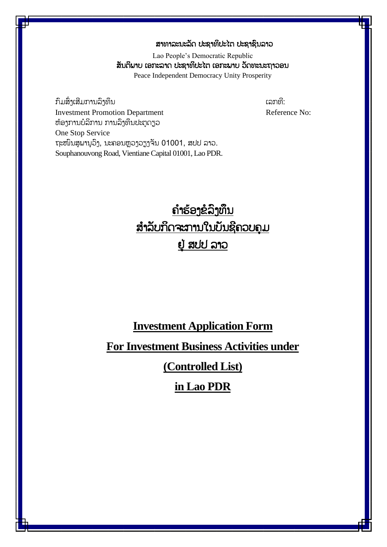### ສາທາລະນະລັດ ປະຊາທິປະໄຕ ປະຊາຊົນລາວ

Lao People's Democratic Republic ສັນຕິພາບ ເອກະລາດ ປະຊາທິປະໄຕ ເອກະພາບ ວັດທະນະຖາວອນ Peace Independent Democracy Unity Prosperity

ກົມສົົ່ງເສີມກຳນລົງທຶນ ເລກທີ: **Investment Promotion Department** Reference No: ຫຸ້ອງກຳນບໍລິກຳນ ກຳນລົງທຶນປະຕູດຽວ One Stop Service ຖະໜົນສຸພານຸວິງ, ນະຄອນຫຼວງວຽງຈັນ 01001, ສປປ ລາວ. Souphanouvong Road, Vientiane Capital 01001, Lao PDR.

# ຄ ຳຮຸ້ອງຂໍລົງທຶນ ສຳລັບກິດຈະການໃນບັນຊີຄວບຄຸມ ຢູູ່ ສປປ ລຳວ

## **Investment Application Form**

# **For Investment Business Activities under**

**(Controlled List)** 

## **in Lao PDR**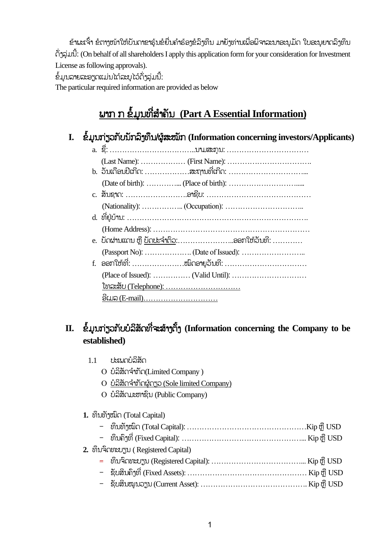ຂ້າພະເຈົ້າ ຂໍຕາງໜ້າໃຫ້ບັນດາຂາຮຸ້ນຂໍຍື່ນຄຳຮ້ອງຂໍລິງທຶນ ມາຍັງທ່ານເພື່ອພິຈາລະນາອະນຸມັດ ໃບອະນຸຍາດລິງທຶນ ດ ົ່ງລ ່ມນີັ້: (On behalf of all shareholders I apply this application form for your consideration for Investment License as following approvals).

ຂໍ້ມູນລາຍລະອຽດແມ່ນໄດ້ລະບຸໄວ້ດັ່ງລຸ່ມນີ້:

 $1.1$  ປະເພດບໍລິສັດ

The particular required information are provided as below

# <u>ພາກ ກ ຂໍ້ມູນທີ່ສຳຄັນ (Part A Essential Information)</u>

I. ຂໍ້ມູນກ່ຽວກັບນັກລິງທຶນ/ຜູ້ສະໝັກ (Information concerning investors/Applicants)

| f. | ອອກໃຫ້ທີ່: ໝືດອາຍຸວັນທີ:      |
|----|-------------------------------|
|    |                               |
|    | <u> ໂທລະສັບ (Telephone): </u> |
|    |                               |

# II. ຂໍ້ມູນກ່ຽວກັບບໍລິສັດທີ່ຈະສ້າງຕັ້ງ (Information concerning the Company to be **established)**

|  | O บํล๊สักจำทัก(Limited Company)                      |  |
|--|------------------------------------------------------|--|
|  | O บํล๊สักจำ <u>ทักผู้กรูอ (Sole limited Company)</u> |  |
|  | O บํลํสักมะขานิบ (Public Company)                    |  |
|  |                                                      |  |
|  | 1. ທຶນທັງໝົດ (Total Capital)                         |  |
|  |                                                      |  |
|  |                                                      |  |
|  | 2. ທຶນຈິດທະບຽນ (Registered Capital)                  |  |
|  |                                                      |  |
|  |                                                      |  |
|  |                                                      |  |
|  |                                                      |  |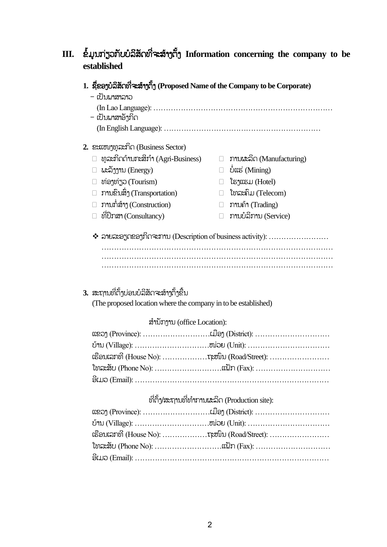## **III.** ຂໍ້ມູນກ່ຽວກັບບໍລິສັດທີ່ຈະສ້າງຕັ້ງ Information concerning the company to be **established**

### 1. ຊື່ຂອງບໍລິສັດທີ່ຈະສ້າງຕັ້ງ (Proposed Name of the Company to be Corporate)

- ເປັນພຳສຳລຳວ
- (In Lao Language): ……………………………………………………………… – ເປັນພາສາອັງກິດ
	- (In English Language): ………………………………………………………

#### **2.** ຂະແໜງທ ລະກິດ (Business Sector)

- $\Box$  ທຸລະກິດດຳນກະສິກຳ (Agri-Business)  $\Box$  ການຜະລິດ (Manufacturing)
- $\Box$  ພະລັງງານ (Energy)  $\Box$  ບໍ່ແຮ່ (Mining)
- $□$  ທ່ອງທ່ຽວ (Tourism)  $□$  ໂຮງແຮມ (Hotel)
- $\Box$  ການຂົນສິ່ງ (Transportation)  $\Box$  ໂທລະຄົມ (Telecom)
- $□$  ການກໍ່ສ້າງ (Construction)  $□$  ການຄ້າ (Trading)
- 
- 
- 
- 
- 
- 
- $\Box$  ທີ່ປຶກສາ (Consultancy)  $\Box$  ການບໍລິການ (Service)
- ❖ ລຳຍລະອຽດຂອງກິດຈະກຳນ (Description of business activity): …………………… ………………………………………………………………………………… ………………………………………………………………………………… …………………………………………………………………………………

## 3. ສະຖານທີ່ຕັ້ງບ່ອນບໍລິສັດຈະສ້າງຕັ້ງຂື້ນ

(The proposed location where the company in to be established)

#### ສຳນັກງານ (office Location):

| ເຮືອນເລກທີ່ (House No): ຖະໜຶ່ນ (Road/Street): |
|-----------------------------------------------|
|                                               |
|                                               |

### ທີ່ຕັ້ງ/ສະຖານທີ່ທຳການຜະລິດ (Production site):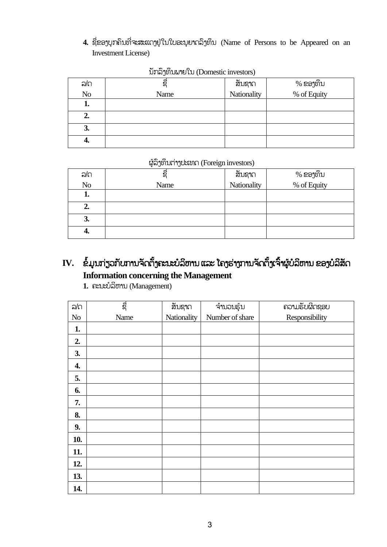4. ຊື່ຂອງບຸກຄົນທີ່ຈະສະແດງຢູ່ໃນໃບອະນຸຍາດລິງທຶນ (Name of Persons to be Appeared on an Investment License)

| ລ/ດ            | ຊື່  | สัมຊาก<br>Nationality | % ຂອງທຶນ<br>% of Equity |
|----------------|------|-----------------------|-------------------------|
| N <sub>o</sub> | Name |                       |                         |
| ı.             |      |                       |                         |
| 2.             |      |                       |                         |
| 3.             |      |                       |                         |
| 4.             |      |                       |                         |

### ນ ກລົງທຶນພຳຍໃນ (Domestic investors)

### ຜູຸ້ລົງທຶນຕ່ຳງປະເທດ (Foreign investors)

| ูล/ก           | ຊື   | สัมຊาก<br>Nationality | % ຂອງທຶນ<br>% of Equity |
|----------------|------|-----------------------|-------------------------|
| N <sub>o</sub> | Name |                       |                         |
| ı.             |      |                       |                         |
| 2.             |      |                       |                         |
| 3.             |      |                       |                         |
| 4.             |      |                       |                         |

# IV. ຂໍ້ມູນກ່ຽວກັບການຈັດຕັ້ງຄະນະບໍລິຫານ ແລະ ໂຄງຮ່າງການຈັດຕັ້ງເຈົ້າຜູ້ບໍລິຫານ ຂອງບໍລິສັດ **Information concerning the Management**

**1.** ຄະນະບໍລິຫຳນ (Management)

| ລ/ດ      | ೨೫೨  | ສັນຊາດ      | ຈຳນວນຮຸ້ນ       | ถวามรับผิดຊອບ  |
|----------|------|-------------|-----------------|----------------|
| $\rm No$ | Name | Nationality | Number of share | Responsibility |
| 1.       |      |             |                 |                |
| 2.       |      |             |                 |                |
| 3.       |      |             |                 |                |
| 4.       |      |             |                 |                |
| 5.       |      |             |                 |                |
| 6.       |      |             |                 |                |
| 7.       |      |             |                 |                |
| 8.       |      |             |                 |                |
| 9.       |      |             |                 |                |
| 10.      |      |             |                 |                |
| 11.      |      |             |                 |                |
| 12.      |      |             |                 |                |
| 13.      |      |             |                 |                |
| 14.      |      |             |                 |                |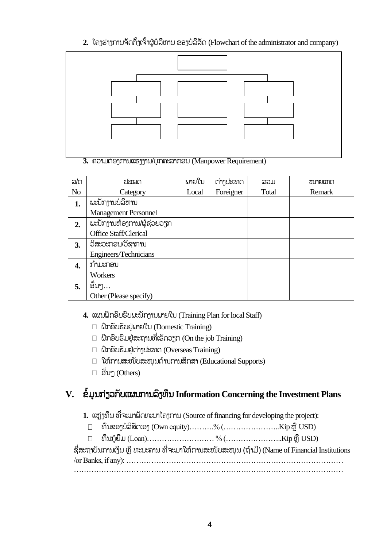2. ໂຄງຮ່າງການຈັດຕັ້ງເຈົ້າຜູ້ບໍລິຫານ ຂອງບໍລິສັດ (Flowchart of the administrator and company)



3. ຄວາມຕ້ອງການແຮງງານ/ບຸກຄະລາກອນ (Manpower Requirement)

| ລ/ດ            | การเกี่ย                    | ผายใบ | ຕ່າງປະເທດ | ລວມ   | ໝາຍເຫດ |
|----------------|-----------------------------|-------|-----------|-------|--------|
| N <sub>o</sub> | Category                    | Local | Foreigner | Total | Remark |
| 1.             | ພະນັກງານບໍລິຫານ             |       |           |       |        |
|                | <b>Management Personnel</b> |       |           |       |        |
| 2.             | ผะบัภาพท้อาภาปผู้ຊ่อยอรูก   |       |           |       |        |
|                | Office Staff/Clerical       |       |           |       |        |
| 3.             | ວິສະວະກອນ/ວິຊາການ           |       |           |       |        |
|                | Engineers/Technicians       |       |           |       |        |
| 4.             | ກຳມະກອນ                     |       |           |       |        |
|                | Workers                     |       |           |       |        |
| 5.             | ອື່ນໆ…                      |       |           |       |        |
|                | Other (Please specify)      |       |           |       |        |

- **4.** ແຜນຝຶກອົບຮົບພະນ ກງຳນພຳຍໃນ (Training Plan for local Staff)
	- ຝຶກອົບຮົບຢູູ່ພຳຍໃນ (Domestic Training)
	- $\Box$  ຝຶກອິບຮິມຢູ່ສະຖານທີ່ເຮັດວຽກ (On the job Training)
	- ຝຶກອົບຮົມຢູູ່ຕ່ຳງປະເທດ (Overseas Training)
	- $\Box$  ໃຫ້ການສະໜັບສະໜູນດ້ານການສຶກສາ (Educational Supports)
	- $\Box$  ອື່ນໆ (Others)

# **V.** ຂໍໍ້ມູນກ່ຽວກ ບແຜນກຳນລົງທຶນ **Information Concerning the Investment Plans**

- 1. ແຫ່ງທຶນ ທີ່ຈະມາພັດທະນາໂຄງການ (Source of financing for developing the project):
- $□$  ທຶນຂອງບໍລິສັດເອງ (Own equity)……….% (………………………..Kip ຫຼື USD)
- $□$  ທຶນກູ້ຍືມ (Loan)………………………………% $($ ……………………………Kip ຫຼື USD)

ຊື່ສະຖາບັນການເງິນ ຫຼື ທະນະຄານ ທີ່ຈະມາໃຫ້ການສະໜັບສະໜູນ (ຖ້າມີ) (Name of Financial Institutions /or Banks, if any): ……………………………………………………………………………

………………………………………………………………………………………………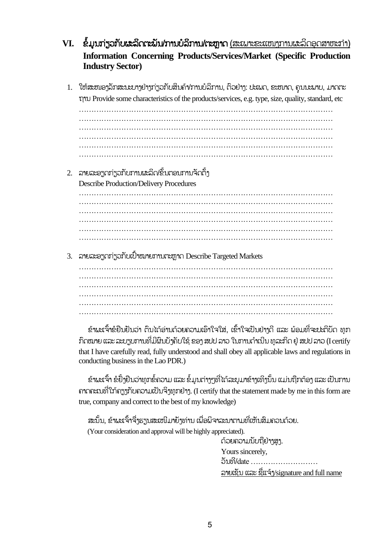- **VI. ຂໍ້ມູນກ່ຽວກັບຜະລິດຕະນັນ/ການບໍລິການ/ຕະຫຼາດ (ສະເພາະຂະແໜງການຜະລິດອຸດສາຫະກຳ) Information Concerning Products/Services/Market (Specific Production Industry Sector)**
	- 1. ໃຫ້ສະໜອງລັກສະນະບາງຢ່າງກ່ຽວກັບສິນຄ້າ/ການບໍລິການ, ຕິວຢ່າງ: ປະເພດ, ຂະໜາດ, ຄຸນນະພາບ, ມາດຕະ ຖຳນ Provide some characteristics of the products/services, e.g. type, size, quality, standard, etc ………………………………………………………………………………………… ………………………………………………………………………………………… …………………………………………………………………………………………

………………………………………………………………………………………… ………………………………………………………………………………………… …………………………………………………………………………………………

 $2.$  ລາຍລະອຽດກ່ຽວກັບການຜະລິດ/ຂັ້ນຕອນການຈັດຕັ້ງ Describe Production/Delivery Procedures

………………………………………………………………………………………… ………………………………………………………………………………………… ………………………………………………………………………………………… ………………………………………………………………………………………… ………………………………………………………………………………………… …………………………………………………………………………………………

3. ລາຍລະອຽດກ່ຽວກັບເປົ້າໝາຍການຕະຫາດ Describe Targeted Markets

………………………………………………………………………………………… ………………………………………………………………………………………… ………………………………………………………………………………………… …………………………………………………………………………………………

ຂ້າພະເຈົ້າຂໍຢືນຢັນວ່າ ຕິນໄດ້ອ່ານດ້ວຍຄວາມເອົາໃຈໃສ່, ເຂົ້າໃຈເປັນຢ່າາດີ ແລະ ພ້ອມທີ່ຈະປະຕິບັດ ທກ ກົດໝາຍ ແລະ ລະບຽບການທີ່ມີຜິນບ້າຄັບໃຊ້ ຂອງ ສປປ ລາວ ໃນການດຳເນີນ ທລະກິດ ຢ່ ສປປ ລາວ (I certify that I have carefully read, fully understood and shall obey all applicable laws and regulations in conducting business in the Lao PDR.)

ຂ້າພະເຈົ້າ ຂໍຢັ້ງຢືນວ່າທຸກຂໍ້ຄວາມ ແລະ ຂໍ້ມູນຕ່າງໆທີ່ໄດ້ລະບຸມາຂ້າງເທິງນັ້ນ ແມ່ນຖືກຕ້ອງ ແລະ ເປັນການ ຄາດຄະເນທີ່ໃກ້ຄຽງກັບຄວາມເປັນຈິງທຸກຢ່າງ. (I certify that the statement made by me in this form are true, company and correct to the best of my knowledge)

ສະນັ້ນ, ຂ້າພະເຈົ້າຈື່ງຮຽນສະເໜີມາຍັງທ່ານ ເພື່ອພິຈາລະນາຕາມທີ່ເຫັນສິມຄວນດ້ວຍ. (Your consideration and approval will be highly appreciated).

ດ້ວຍຄວາມນັບຖືຢ່າງສູງ. Yours sincerely, ວ ນທີ/date ……………………… ລາຍເຊັນ ແລະ ຊື່ແຈ້ $\gamma$ signature and full name